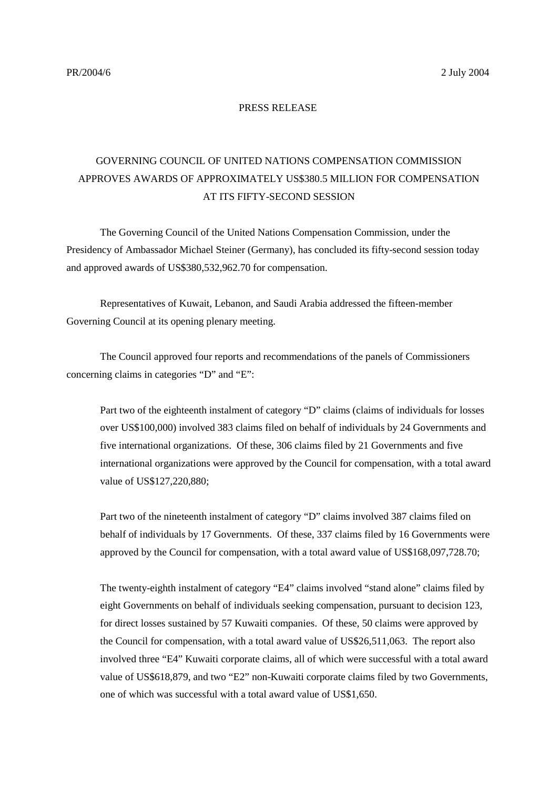## PRESS RELEASE

## GOVERNING COUNCIL OF UNITED NATIONS COMPENSATION COMMISSION APPROVES AWARDS OF APPROXIMATELY US\$380.5 MILLION FOR COMPENSATION AT ITS FIFTY-SECOND SESSION

The Governing Council of the United Nations Compensation Commission, under the Presidency of Ambassador Michael Steiner (Germany), has concluded its fifty-second session today and approved awards of US\$380,532,962.70 for compensation.

Representatives of Kuwait, Lebanon, and Saudi Arabia addressed the fifteen-member Governing Council at its opening plenary meeting.

The Council approved four reports and recommendations of the panels of Commissioners concerning claims in categories "D" and "E":

Part two of the eighteenth instalment of category "D" claims (claims of individuals for losses over US\$100,000) involved 383 claims filed on behalf of individuals by 24 Governments and five international organizations. Of these, 306 claims filed by 21 Governments and five international organizations were approved by the Council for compensation, with a total award value of US\$127,220,880;

Part two of the nineteenth instalment of category "D" claims involved 387 claims filed on behalf of individuals by 17 Governments. Of these, 337 claims filed by 16 Governments were approved by the Council for compensation, with a total award value of US\$168,097,728.70;

The twenty-eighth instalment of category "E4" claims involved "stand alone" claims filed by eight Governments on behalf of individuals seeking compensation, pursuant to decision 123, for direct losses sustained by 57 Kuwaiti companies. Of these, 50 claims were approved by the Council for compensation, with a total award value of US\$26,511,063. The report also involved three "E4" Kuwaiti corporate claims, all of which were successful with a total award value of US\$618,879, and two "E2" non-Kuwaiti corporate claims filed by two Governments, one of which was successful with a total award value of US\$1,650.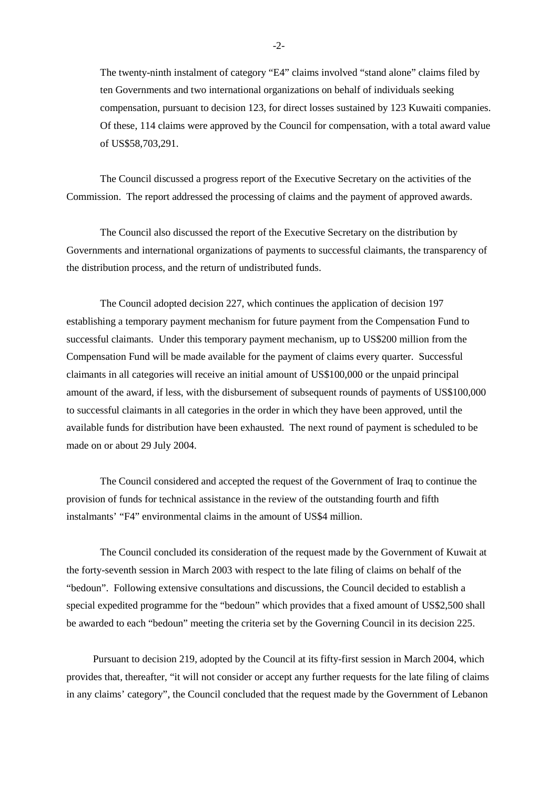The twenty-ninth instalment of category "E4" claims involved "stand alone" claims filed by ten Governments and two international organizations on behalf of individuals seeking compensation, pursuant to decision 123, for direct losses sustained by 123 Kuwaiti companies. Of these, 114 claims were approved by the Council for compensation, with a total award value of US\$58,703,291.

The Council discussed a progress report of the Executive Secretary on the activities of the Commission. The report addressed the processing of claims and the payment of approved awards.

The Council also discussed the report of the Executive Secretary on the distribution by Governments and international organizations of payments to successful claimants, the transparency of the distribution process, and the return of undistributed funds.

The Council adopted decision 227, which continues the application of decision 197 establishing a temporary payment mechanism for future payment from the Compensation Fund to successful claimants. Under this temporary payment mechanism, up to US\$200 million from the Compensation Fund will be made available for the payment of claims every quarter. Successful claimants in all categories will receive an initial amount of US\$100,000 or the unpaid principal amount of the award, if less, with the disbursement of subsequent rounds of payments of US\$100,000 to successful claimants in all categories in the order in which they have been approved, until the available funds for distribution have been exhausted. The next round of payment is scheduled to be made on or about 29 July 2004.

The Council considered and accepted the request of the Government of Iraq to continue the provision of funds for technical assistance in the review of the outstanding fourth and fifth instalmants' "F4" environmental claims in the amount of US\$4 million.

The Council concluded its consideration of the request made by the Government of Kuwait at the forty-seventh session in March 2003 with respect to the late filing of claims on behalf of the "bedoun". Following extensive consultations and discussions, the Council decided to establish a special expedited programme for the "bedoun" which provides that a fixed amount of US\$2,500 shall be awarded to each "bedoun" meeting the criteria set by the Governing Council in its decision 225.

Pursuant to decision 219, adopted by the Council at its fifty-first session in March 2004, which provides that, thereafter, "it will not consider or accept any further requests for the late filing of claims in any claims' category", the Council concluded that the request made by the Government of Lebanon